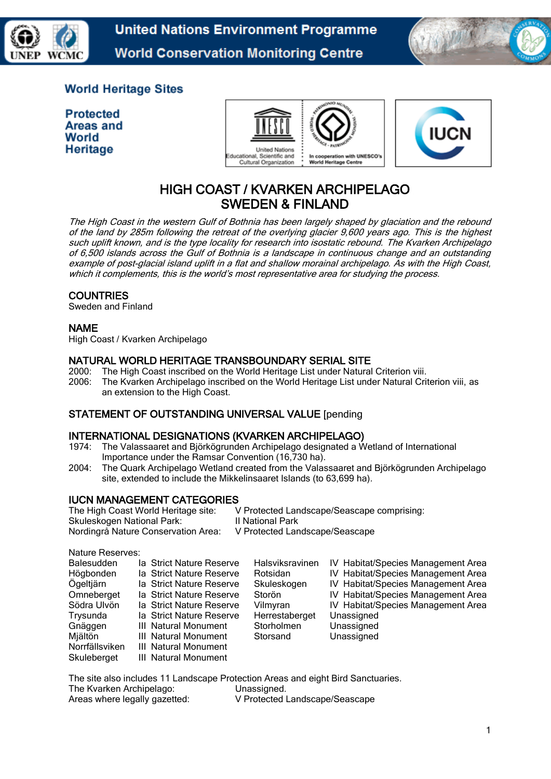

**United Nations Environment Programme World Conservation Monitoring Centre** 



# **World Heritage Sites**

**Protected** Areas and World Heritage





# HIGH COAST / KVARKEN ARCHIPELAGO SWEDEN & FINLAND

The High Coast in the western Gulf of Bothnia has been largely shaped by glaciation and the rebound of the land by 285m following the retreat of the overlying glacier 9,600 years ago. This is the highest such uplift known, and is the type locality for research into isostatic rebound. The Kvarken Archipelago of 6,500 islands across the Gulf of Bothnia is a landscape in continuous change and an outstanding example of post-glacial island uplift in a flat and shallow morainal archipelago. As with the High Coast, which it complements, this is the world's most representative area for studying the process.

# **COUNTRIES**

Sweden and Finland

# NAME

High Coast / Kvarken Archipelago

# NATURAL WORLD HERITAGE TRANSBOUNDARY SERIAL SITE

- 2000: The High Coast inscribed on the World Heritage List under Natural Criterion viii.
- 2006: The Kvarken Archipelago inscribed on the World Heritage List under Natural Criterion viii, as an extension to the High Coast.

# STATEMENT OF OUTSTANDING UNIVERSAL VALUE [pending

# INTERNATIONAL DESIGNATIONS (KVARKEN ARCHIPELAGO)

- 1974: The Valassaaret and Björkögrunden Archipelago designated a Wetland of International Importance under the Ramsar Convention (16,730 ha).
- 2004: The Quark Archipelago Wetland created from the Valassaaret and Björkögrunden Archipelago site, extended to include the Mikkelinsaaret Islands (to 63,699 ha).

# **IUCN MANAGEMENT CATEGORIES**<br>The High Coast World Heritage site: \

V Protected Landscape/Seascape comprising: Skuleskogen National Park: II National Park Nordingrå Nature Conservation Area: V Protected Landscape/Seascape

Nature Reserves:

| <b>Balesudden</b> | la Strict Nature Reserve | Halsviksravinen | IV Habitat/Species Management Area |
|-------------------|--------------------------|-----------------|------------------------------------|
| Högbonden         | la Strict Nature Reserve | Rotsidan        | IV Habitat/Species Management Area |
| Ögeltjärn         | la Strict Nature Reserve | Skuleskogen     | IV Habitat/Species Management Area |
| Omneberget        | la Strict Nature Reserve | Storön          | IV Habitat/Species Management Area |
| Södra Ulvön       | la Strict Nature Reserve | Vilmyran        | IV Habitat/Species Management Area |
| Trysunda          | la Strict Nature Reserve | Herrestaberget  | Unassigned                         |
| Gnäggen           | III Natural Monument     | Storholmen      | Unassigned                         |
| Mjältön           | III Natural Monument     | Storsand        | Unassigned                         |
| Norrfällsviken    | III Natural Monument     |                 |                                    |
| Skuleberget       | III Natural Monument     |                 |                                    |

The site also includes 11 Landscape Protection Areas and eight Bird Sanctuaries. The Kvarken Archipelago: Unassigned. Areas where legally gazetted: V Protected Landscape/Seascape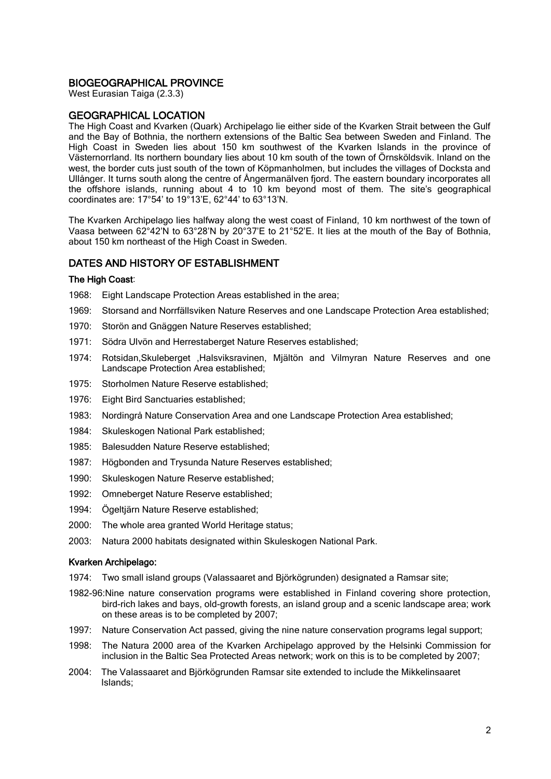#### BIOGEOGRAPHICAL PROVINCE

West Eurasian Taiga (2.3.3)

#### GEOGRAPHICAL LOCATION

The High Coast and Kvarken (Quark) Archipelago lie either side of the Kvarken Strait between the Gulf and the Bay of Bothnia, the northern extensions of the Baltic Sea between Sweden and Finland. The High Coast in Sweden lies about 150 km southwest of the Kvarken Islands in the province of Västernorrland. Its northern boundary lies about 10 km south of the town of Örnsköldsvik. Inland on the west, the border cuts just south of the town of Köpmanholmen, but includes the villages of Docksta and Ullånger. It turns south along the centre of Ångermanälven fjord. The eastern boundary incorporates all the offshore islands, running about 4 to 10 km beyond most of them. The site's geographical coordinates are: 17°54' to 19°13'E, 62°44' to 63°13'N.

The Kvarken Archipelago lies halfway along the west coast of Finland, 10 km northwest of the town of Vaasa between 62°42'N to 63°28'N by 20°37'E to 21°52'E. It lies at the mouth of the Bay of Bothnia, about 150 km northeast of the High Coast in Sweden.

#### DATES AND HISTORY OF ESTABLISHMENT

#### The High Coast:

- 1968: Eight Landscape Protection Areas established in the area;
- 1969: Storsand and Norrfällsviken Nature Reserves and one Landscape Protection Area established;
- 1970: Storön and Gnäggen Nature Reserves established;
- 1971: Södra Ulvön and Herrestaberget Nature Reserves established;
- 1974: Rotsidan,Skuleberget ,Halsviksravinen, Mjältön and Vilmyran Nature Reserves and one Landscape Protection Area established;
- 1975: Storholmen Nature Reserve established;
- 1976: Eight Bird Sanctuaries established;
- 1983: Nordingrå Nature Conservation Area and one Landscape Protection Area established;
- 1984: Skuleskogen National Park established;
- 1985: Balesudden Nature Reserve established;
- 1987: Högbonden and Trysunda Nature Reserves established;
- 1990: Skuleskogen Nature Reserve established;
- 1992: Omneberget Nature Reserve established;
- 1994: Ögeltjärn Nature Reserve established;
- 2000: The whole area granted World Heritage status;
- 2003: Natura 2000 habitats designated within Skuleskogen National Park.

#### Kvarken Archipelago:

- 1974: Two small island groups (Valassaaret and Björkögrunden) designated a Ramsar site;
- 1982-96:Nine nature conservation programs were established in Finland covering shore protection, bird-rich lakes and bays, old-growth forests, an island group and a scenic landscape area; work on these areas is to be completed by 2007;
- 1997: Nature Conservation Act passed, giving the nine nature conservation programs legal support;
- 1998: The Natura 2000 area of the Kvarken Archipelago approved by the Helsinki Commission for inclusion in the Baltic Sea Protected Areas network; work on this is to be completed by 2007;
- 2004: The Valassaaret and Björkögrunden Ramsar site extended to include the Mikkelinsaaret Islands;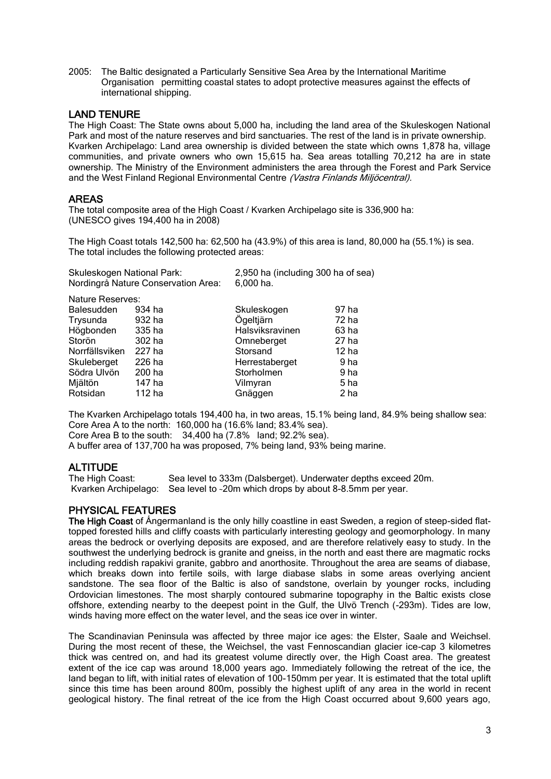2005: The Baltic designated a Particularly Sensitive Sea Area by the International Maritime Organisation permitting coastal states to adopt protective measures against the effects of international shipping.

#### LAND TENURE

The High Coast: The State owns about 5,000 ha, including the land area of the Skuleskogen National Park and most of the nature reserves and bird sanctuaries. The rest of the land is in private ownership. Kvarken Archipelago: Land area ownership is divided between the state which owns 1,878 ha, village communities, and private owners who own 15,615 ha. Sea areas totalling 70,212 ha are in state ownership. The Ministry of the Environment administers the area through the Forest and Park Service and the West Finland Regional Environmental Centre (Vastra Finlands Miljöcentral).

#### AREAS

The total composite area of the High Coast / Kvarken Archipelago site is 336,900 ha: (UNESCO gives 194,400 ha in 2008)

The High Coast totals 142,500 ha: 62,500 ha (43.9%) of this area is land, 80,000 ha (55.1%) is sea. The total includes the following protected areas:

| Skuleskogen National Park:          | 2,950 ha (including 300 ha of sea) |
|-------------------------------------|------------------------------------|
| Nordingrå Nature Conservation Area: | $6.000$ ha.                        |
| Nature Reserves:                    |                                    |

| <b>Balesudden</b> | 934 ha | Skuleskogen     | 97 ha            |
|-------------------|--------|-----------------|------------------|
| Trysunda          | 932 ha | Ögeltjärn       | 72 ha            |
| Högbonden         | 335 ha | Halsviksravinen | 63 ha            |
| Storön            | 302 ha | Omneberget      | 27 ha            |
| Norrfällsviken    | 227 ha | Storsand        | 12 <sub>ha</sub> |
| Skuleberget       | 226 ha | Herrestaberget  | 9 ha             |
| Södra Ulvön       | 200 ha | Storholmen      | 9 ha             |
| Mjältön           | 147 ha | Vilmyran        | 5 ha             |
| Rotsidan          | 112 ha | Gnäggen         | 2 ha             |

The Kvarken Archipelago totals 194,400 ha, in two areas, 15.1% being land, 84.9% being shallow sea: Core Area A to the north: 160,000 ha (16.6% land; 83.4% sea). Core Area B to the south: 34,400 ha (7.8% land; 92.2% sea). A buffer area of 137,700 ha was proposed, 7% being land, 93% being marine.

**ALTITUDE**<br>The High Coast: Sea level to 333m (Dalsberget). Underwater depths exceed 20m. Kvarken Archipelago: Sea level to ~20m which drops by about 8-8.5mm per year.

# PHYSICAL FEATURES

The High Coast of Angermanland is the only hilly coastline in east Sweden, a region of steep-sided flattopped forested hills and cliffy coasts with particularly interesting geology and geomorphology. In many areas the bedrock or overlying deposits are exposed, and are therefore relatively easy to study. In the southwest the underlying bedrock is granite and gneiss, in the north and east there are magmatic rocks including reddish rapakivi granite, gabbro and anorthosite. Throughout the area are seams of diabase, which breaks down into fertile soils, with large diabase slabs in some areas overlying ancient sandstone. The sea floor of the Baltic is also of sandstone, overlain by younger rocks, including Ordovician limestones. The most sharply contoured submarine topography in the Baltic exists close offshore, extending nearby to the deepest point in the Gulf, the Ulvö Trench (-293m). Tides are low, winds having more effect on the water level, and the seas ice over in winter.

The Scandinavian Peninsula was affected by three major ice ages: the Elster, Saale and Weichsel. During the most recent of these, the Weichsel, the vast Fennoscandian glacier ice-cap 3 kilometres thick was centred on, and had its greatest volume directly over, the High Coast area. The greatest extent of the ice cap was around 18,000 years ago. Immediately following the retreat of the ice, the land began to lift, with initial rates of elevation of 100-150mm per year. It is estimated that the total uplift since this time has been around 800m, possibly the highest uplift of any area in the world in recent geological history. The final retreat of the ice from the High Coast occurred about 9,600 years ago,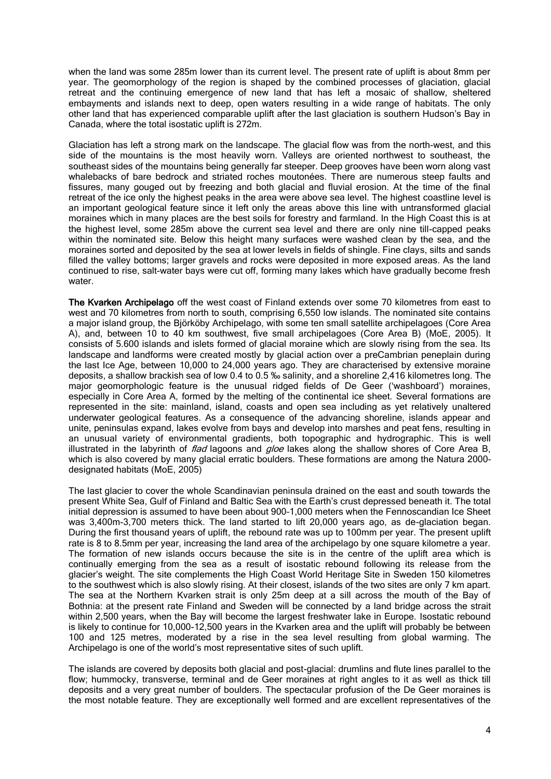when the land was some 285m lower than its current level. The present rate of uplift is about 8mm per year. The geomorphology of the region is shaped by the combined processes of glaciation, glacial retreat and the continuing emergence of new land that has left a mosaic of shallow, sheltered embayments and islands next to deep, open waters resulting in a wide range of habitats. The only other land that has experienced comparable uplift after the last glaciation is southern Hudson's Bay in Canada, where the total isostatic uplift is 272m.

Glaciation has left a strong mark on the landscape. The glacial flow was from the north-west, and this side of the mountains is the most heavily worn. Valleys are oriented northwest to southeast, the southeast sides of the mountains being generally far steeper. Deep grooves have been worn along vast whalebacks of bare bedrock and striated roches moutonées. There are numerous steep faults and fissures, many gouged out by freezing and both glacial and fluvial erosion. At the time of the final retreat of the ice only the highest peaks in the area were above sea level. The highest coastline level is an important geological feature since it left only the areas above this line with untransformed glacial moraines which in many places are the best soils for forestry and farmland. In the High Coast this is at the highest level, some 285m above the current sea level and there are only nine till-capped peaks within the nominated site. Below this height many surfaces were washed clean by the sea, and the moraines sorted and deposited by the sea at lower levels in fields of shingle. Fine clays, silts and sands filled the valley bottoms; larger gravels and rocks were deposited in more exposed areas. As the land continued to rise, salt-water bays were cut off, forming many lakes which have gradually become fresh water

The Kvarken Archipelago off the west coast of Finland extends over some 70 kilometres from east to west and 70 kilometres from north to south, comprising 6,550 low islands. The nominated site contains a major island group, the Björköby Archipelago, with some ten small satellite archipelagoes (Core Area A), and, between 10 to 40 km southwest, five small archipelagoes (Core Area B) (MoE, 2005). It consists of 5.600 islands and islets formed of glacial moraine which are slowly rising from the sea. Its landscape and landforms were created mostly by glacial action over a preCambrian peneplain during the last Ice Age, between 10,000 to 24,000 years ago. They are characterised by extensive moraine deposits, a shallow brackish sea of low 0.4 to 0.5 ‰ salinity, and a shoreline 2,416 kilometres long. The major geomorphologic feature is the unusual ridged fields of De Geer ('washboard') moraines, especially in Core Area A, formed by the melting of the continental ice sheet. Several formations are represented in the site: mainland, island, coasts and open sea including as yet relatively unaltered underwater geological features. As a consequence of the advancing shoreline, islands appear and unite, peninsulas expand, lakes evolve from bays and develop into marshes and peat fens, resulting in an unusual variety of environmental gradients, both topographic and hydrographic. This is well illustrated in the labyrinth of *flad* lagoons and  $q/oe$  lakes along the shallow shores of Core Area B, which is also covered by many glacial erratic boulders. These formations are among the Natura 2000– designated habitats (MoE, 2005)

The last glacier to cover the whole Scandinavian peninsula drained on the east and south towards the present White Sea, Gulf of Finland and Baltic Sea with the Earth's crust depressed beneath it. The total initial depression is assumed to have been about 900–1,000 meters when the Fennoscandian Ice Sheet was 3,400m-3,700 meters thick. The land started to lift 20,000 years ago, as de-glaciation began. During the first thousand years of uplift, the rebound rate was up to 100mm per year. The present uplift rate is 8 to 8.5mm per year, increasing the land area of the archipelago by one square kilometre a year. The formation of new islands occurs because the site is in the centre of the uplift area which is continually emerging from the sea as a result of isostatic rebound following its release from the glacier's weight. The site complements the High Coast World Heritage Site in Sweden 150 kilometres to the southwest which is also slowly rising. At their closest, islands of the two sites are only 7 km apart. The sea at the Northern Kvarken strait is only 25m deep at a sill across the mouth of the Bay of Bothnia: at the present rate Finland and Sweden will be connected by a land bridge across the strait within 2,500 years, when the Bay will become the largest freshwater lake in Europe. Isostatic rebound is likely to continue for 10,000-12,500 years in the Kvarken area and the uplift will probably be between 100 and 125 metres, moderated by a rise in the sea level resulting from global warming. The Archipelago is one of the world's most representative sites of such uplift.

The islands are covered by deposits both glacial and post-glacial: drumlins and flute lines parallel to the flow; hummocky, transverse, terminal and de Geer moraines at right angles to it as well as thick till deposits and a very great number of boulders. The spectacular profusion of the De Geer moraines is the most notable feature. They are exceptionally well formed and are excellent representatives of the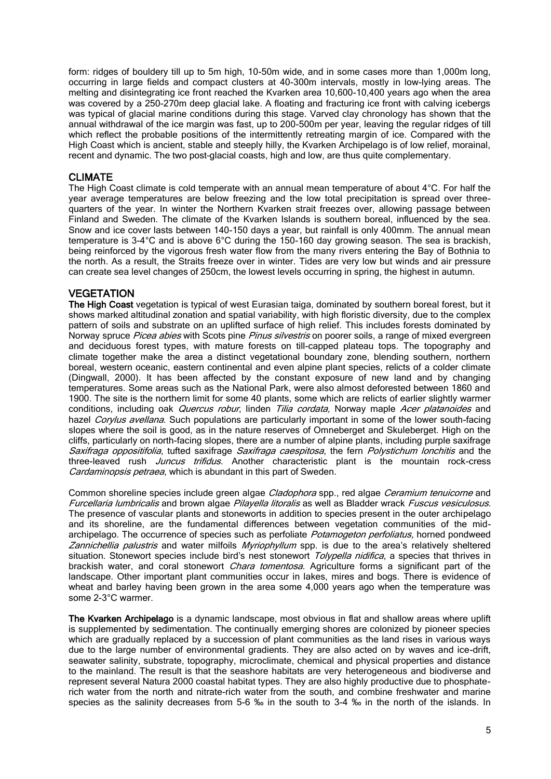form: ridges of bouldery till up to 5m high, 10-50m wide, and in some cases more than 1,000m long, occurring in large fields and compact clusters at 40-300m intervals, mostly in low-lying areas. The melting and disintegrating ice front reached the Kvarken area 10,600-10,400 years ago when the area was covered by a 250-270m deep glacial lake. A floating and fracturing ice front with calving icebergs was typical of glacial marine conditions during this stage. Varved clay chronology has shown that the annual withdrawal of the ice margin was fast, up to 200-500m per year, leaving the regular ridges of till which reflect the probable positions of the intermittently retreating margin of ice. Compared with the High Coast which is ancient, stable and steeply hilly, the Kvarken Archipelago is of low relief, morainal, recent and dynamic. The two post–glacial coasts, high and low, are thus quite complementary.

# CLIMATE

The High Coast climate is cold temperate with an annual mean temperature of about  $4^{\circ}$ C. For half the year average temperatures are below freezing and the low total precipitation is spread over threequarters of the year. In winter the Northern Kvarken strait freezes over, allowing passage between Finland and Sweden. The climate of the Kvarken Islands is southern boreal, influenced by the sea. Snow and ice cover lasts between 140-150 days a year, but rainfall is only 400mm. The annual mean temperature is 3-4°C and is above 6°C during the 150-160 day growing season. The sea is brackish, being reinforced by the vigorous fresh water flow from the many rivers entering the Bay of Bothnia to the north. As a result, the Straits freeze over in winter. Tides are very low but winds and air pressure can create sea level changes of 250cm, the lowest levels occurring in spring, the highest in autumn.

# **VEGETATION**

The High Coast vegetation is typical of west Eurasian taiga, dominated by southern boreal forest, but it shows marked altitudinal zonation and spatial variability, with high floristic diversity, due to the complex pattern of soils and substrate on an uplifted surface of high relief. This includes forests dominated by Norway spruce Picea abies with Scots pine Pinus silvestris on poorer soils, a range of mixed evergreen and deciduous forest types, with mature forests on till-capped plateau tops. The topography and climate together make the area a distinct vegetational boundary zone, blending southern, northern boreal, western oceanic, eastern continental and even alpine plant species, relicts of a colder climate (Dingwall, 2000). It has been affected by the constant exposure of new land and by changing temperatures. Some areas such as the National Park, were also almost deforested between 1860 and 1900. The site is the northern limit for some 40 plants, some which are relicts of earlier slightly warmer conditions, including oak *Quercus robur*, linden Tilia cordata, Norway maple *Acer platanoides* and hazel Corylus avellana. Such populations are particularly important in some of the lower south-facing slopes where the soil is good, as in the nature reserves of Omneberget and Skuleberget. High on the cliffs, particularly on north-facing slopes, there are a number of alpine plants, including purple saxifrage Saxifraga oppositifolia, tufted saxifrage Saxifraga caespitosa, the fern Polystichum lonchitis and the three-leaved rush *Juncus trifidus*. Another characteristic plant is the mountain rock-cress Cardaminopsis petraea, which is abundant in this part of Sweden.

Common shoreline species include green algae *Cladophora* spp., red algae *Ceramium tenuicorne* and Furcellaria lumbricalis and brown algae Pilayella litoralis as well as Bladder wrack Fuscus vesiculosus. The presence of vascular plants and stoneworts in addition to species present in the outer archipelago and its shoreline, are the fundamental differences between vegetation communities of the midarchipelago. The occurrence of species such as perfoliate Potamogeton perfoliatus, horned pondweed Zannichellia palustris and water milfoils Myriophyllum spp. is due to the area's relatively sheltered situation. Stonewort species include bird's nest stonewort *Tolypella nidifica*, a species that thrives in brackish water, and coral stonewort *Chara tomentosa*. Agriculture forms a significant part of the landscape. Other important plant communities occur in lakes, mires and bogs. There is evidence of wheat and barley having been grown in the area some 4,000 years ago when the temperature was some 2-3°C warmer.

The Kvarken Archipelago is a dynamic landscape, most obvious in flat and shallow areas where uplift is supplemented by sedimentation. The continually emerging shores are colonized by pioneer species which are gradually replaced by a succession of plant communities as the land rises in various ways due to the large number of environmental gradients. They are also acted on by waves and ice-drift, seawater salinity, substrate, topography, microclimate, chemical and physical properties and distance to the mainland. The result is that the seashore habitats are very heterogeneous and biodiverse and represent several Natura 2000 coastal habitat types. They are also highly productive due to phosphaterich water from the north and nitrate-rich water from the south, and combine freshwater and marine species as the salinity decreases from 5-6 ‰ in the south to 3-4 ‰ in the north of the islands. In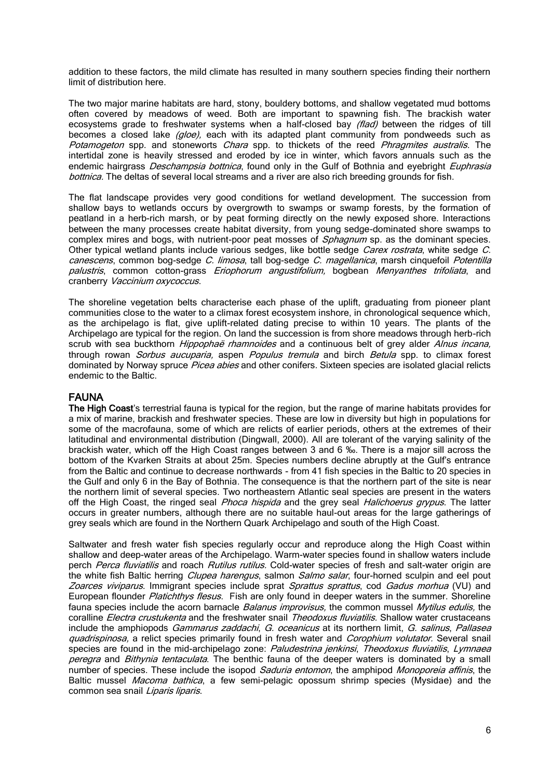addition to these factors, the mild climate has resulted in many southern species finding their northern limit of distribution here.

The two major marine habitats are hard, stony, bouldery bottoms, and shallow vegetated mud bottoms often covered by meadows of weed. Both are important to spawning fish. The brackish water ecosystems grade to freshwater systems when a half-closed bay (flad) between the ridges of till becomes a closed lake  $(gloe)$ , each with its adapted plant community from pondweeds such as Potamogeton spp. and stoneworts *Chara* spp. to thickets of the reed *Phragmites australis*. The intertidal zone is heavily stressed and eroded by ice in winter, which favors annuals such as the endemic hairgrass *Deschampsia bottnica*, found only in the Gulf of Bothnia and eyebright *Euphrasia* bottnica. The deltas of several local streams and a river are also rich breeding grounds for fish.

The flat landscape provides very good conditions for wetland development. The succession from shallow bays to wetlands occurs by overgrowth to swamps or swamp forests, by the formation of peatland in a herb-rich marsh, or by peat forming directly on the newly exposed shore. Interactions between the many processes create habitat diversity, from young sedge-dominated shore swamps to complex mires and bogs, with nutrient-poor peat mosses of *Sphagnum* sp. as the dominant species. Other typical wetland plants include various sedges, like bottle sedge *Carex rostrata*, white sedge *C*. canescens, common bog-sedge C. limosa, tall bog-sedge C. magellanica, marsh cinquefoil Potentilla palustris, common cotton-grass *Eriophorum angustifolium*, bogbean *Menyanthes trifoliata*, and cranberry Vaccinium oxycoccus.

The shoreline vegetation belts characterise each phase of the uplift, graduating from pioneer plant communities close to the water to a climax forest ecosystem inshore, in chronological sequence which, as the archipelago is flat, give uplift-related dating precise to within 10 years. The plants of the Archipelago are typical for the region. On land the succession is from shore meadows through herb-rich scrub with sea buckthorn Hippophaë rhamnoides and a continuous belt of grey alder Alnus incana, through rowan Sorbus aucuparia, aspen Populus tremula and birch Betula spp. to climax forest dominated by Norway spruce Picea abies and other conifers. Sixteen species are isolated glacial relicts endemic to the Baltic.

#### FAUNA

The High Coast's terrestrial fauna is typical for the region, but the range of marine habitats provides for a mix of marine, brackish and freshwater species. These are low in diversity but high in populations for some of the macrofauna, some of which are relicts of earlier periods, others at the extremes of their latitudinal and environmental distribution (Dingwall, 2000). All are tolerant of the varying salinity of the brackish water, which off the High Coast ranges between 3 and 6 ‰. There is a major sill across the bottom of the Kvarken Straits at about 25m. Species numbers decline abruptly at the Gulf's entrance from the Baltic and continue to decrease northwards - from 41 fish species in the Baltic to 20 species in the Gulf and only 6 in the Bay of Bothnia. The consequence is that the northern part of the site is near the northern limit of several species. Two northeastern Atlantic seal species are present in the waters off the High Coast, the ringed seal *Phoca hispida* and the grey seal *Halichoerus grypus*. The latter occurs in greater numbers, although there are no suitable haul-out areas for the large gatherings of grey seals which are found in the Northern Quark Archipelago and south of the High Coast.

Saltwater and fresh water fish species regularly occur and reproduce along the High Coast within shallow and deep-water areas of the Archipelago. Warm-water species found in shallow waters include perch Perca fluviatilis and roach Rutilus rutilus. Cold-water species of fresh and salt-water origin are the white fish Baltic herring Clupea harengus, salmon Salmo salar, four-horned sculpin and eel pout Zoarces viviparus. Immigrant species include sprat Sprattus sprattus, cod Gadus morhua (VU) and European flounder Platichthys flesus. Fish are only found in deeper waters in the summer. Shoreline fauna species include the acorn barnacle *Balanus improvisus*, the common mussel Mytilus edulis, the coralline Electra crustukenta and the freshwater snail Theodoxus fluviatilis. Shallow water crustaceans include the amphiopods *Gammarus zaddachi, G. oceanicus* at its northern limit, G. salinus, Pallasea quadrispinosa, a relict species primarily found in fresh water and Corophium volutator. Several snail species are found in the mid-archipelago zone: Paludestrina jenkinsi, Theodoxus fluviatilis, Lymnaea peregra and Bithynia tentaculata. The benthic fauna of the deeper waters is dominated by a small number of species. These include the isopod *Saduria entomon*, the amphipod *Monoporeia affinis*, the Baltic mussel *Macoma bathica*, a few semi-pelagic opossum shrimp species (Mysidae) and the common sea snail Liparis liparis.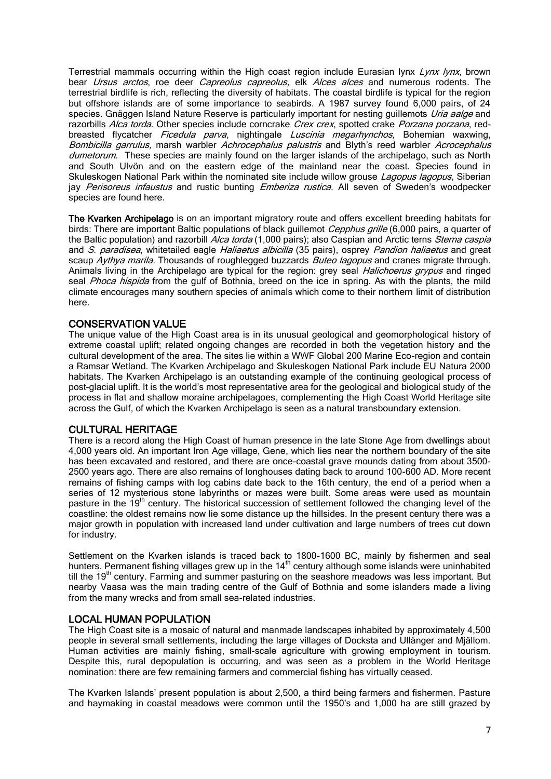Terrestrial mammals occurring within the High coast region include Eurasian lynx Lynx lynx, brown bear *Ursus arctos*, roe deer *Capreolus capreolus*, elk *Alces alces* and numerous rodents. The terrestrial birdlife is rich, reflecting the diversity of habitats. The coastal birdlife is typical for the region but offshore islands are of some importance to seabirds. A 1987 survey found 6,000 pairs, of 24 species. Gnäggen Island Nature Reserve is particularly important for nesting guillemots Uria aalge and razorbills Alca torda. Other species include corncrake Crex crex, spotted crake Porzana porzana, redbreasted flycatcher *Ficedula parva*, nightingale Luscinia megarhynchos, Bohemian waxwing, Bombicilla garrulus, marsh warbler Achrocephalus palustris and Blyth's reed warbler Acrocephalus dumetorum. These species are mainly found on the larger islands of the archipelago, such as North and South Ulvön and on the eastern edge of the mainland near the coast. Species found in Skuleskogen National Park within the nominated site include willow grouse Lagopus lagopus, Siberian jay *Perisoreus infaustus* and rustic bunting *Emberiza rustica*. All seven of Sweden's woodpecker species are found here.

The Kvarken Archipelago is on an important migratory route and offers excellent breeding habitats for birds: There are important Baltic populations of black guillemot Cepphus grille (6,000 pairs, a quarter of the Baltic population) and razorbill Alca torda (1,000 pairs); also Caspian and Arctic terns Sterna caspia and S. paradisea, whitetailed eagle Haliaetus albicilla (35 pairs), osprey Pandion haliaetus and great scaup Aythya marila. Thousands of roughlegged buzzards Buteo lagopus and cranes migrate through. Animals living in the Archipelago are typical for the region: grey seal *Halichoerus grypus* and ringed seal *Phoca hispida* from the gulf of Bothnia, breed on the ice in spring. As with the plants, the mild climate encourages many southern species of animals which come to their northern limit of distribution here.

# CONSERVATION VALUE

The unique value of the High Coast area is in its unusual geological and geomorphological history of extreme coastal uplift; related ongoing changes are recorded in both the vegetation history and the cultural development of the area. The sites lie within a WWF Global 200 Marine Eco-region and contain a Ramsar Wetland. The Kvarken Archipelago and Skuleskogen National Park include EU Natura 2000 habitats. The Kvarken Archipelago is an outstanding example of the continuing geological process of post-glacial uplift. It is the world's most representative area for the geological and biological study of the process in flat and shallow moraine archipelagoes, complementing the High Coast World Heritage site across the Gulf, of which the Kvarken Archipelago is seen as a natural transboundary extension.

# CULTURAL HERITAGE

There is a record along the High Coast of human presence in the late Stone Age from dwellings about 4,000 years old. An important Iron Age village, Gene, which lies near the northern boundary of the site has been excavated and restored, and there are once-coastal grave mounds dating from about 3500- 2500 years ago. There are also remains of longhouses dating back to around 100-600 AD. More recent remains of fishing camps with log cabins date back to the 16th century, the end of a period when a series of 12 mysterious stone labyrinths or mazes were built. Some areas were used as mountain pasture in the  $19<sup>th</sup>$  century. The historical succession of settlement followed the changing level of the coastline: the oldest remains now lie some distance up the hillsides. In the present century there was a major growth in population with increased land under cultivation and large numbers of trees cut down for industry.

Settlement on the Kvarken islands is traced back to 1800-1600 BC, mainly by fishermen and seal hunters. Permanent fishing villages grew up in the  $14<sup>th</sup>$  century although some islands were uninhabited till the 19<sup>th</sup> century. Farming and summer pasturing on the seashore meadows was less important. But nearby Vaasa was the main trading centre of the Gulf of Bothnia and some islanders made a living from the many wrecks and from small sea-related industries.

#### LOCAL HUMAN POPULATION

The High Coast site is a mosaic of natural and manmade landscapes inhabited by approximately 4,500 people in several small settlements, including the large villages of Docksta and Ullånger and Mjällom. Human activities are mainly fishing, small-scale agriculture with growing employment in tourism. Despite this, rural depopulation is occurring, and was seen as a problem in the World Heritage nomination: there are few remaining farmers and commercial fishing has virtually ceased.

The Kvarken Islands' present population is about 2,500, a third being farmers and fishermen. Pasture and haymaking in coastal meadows were common until the 1950's and 1,000 ha are still grazed by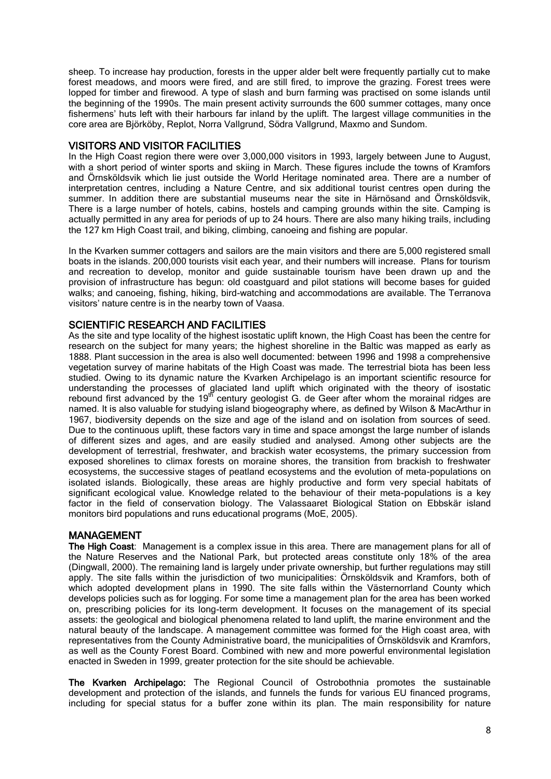sheep. To increase hay production, forests in the upper alder belt were frequently partially cut to make forest meadows, and moors were fired, and are still fired, to improve the grazing. Forest trees were lopped for timber and firewood. A type of slash and burn farming was practised on some islands until the beginning of the 1990s. The main present activity surrounds the 600 summer cottages, many once fishermens' huts left with their harbours far inland by the uplift. The largest village communities in the core area are Björköby, Replot, Norra Vallgrund, Södra Vallgrund, Maxmo and Sundom.

# VISITORS AND VISITOR FACILITIES

In the High Coast region there were over 3,000,000 visitors in 1993, largely between June to August, with a short period of winter sports and skiing in March. These figures include the towns of Kramfors and Örnsköldsvik which lie just outside the World Heritage nominated area. There are a number of interpretation centres, including a Nature Centre, and six additional tourist centres open during the summer. In addition there are substantial museums near the site in Härnösand and Örnsköldsvik, There is a large number of hotels, cabins, hostels and camping grounds within the site. Camping is actually permitted in any area for periods of up to 24 hours. There are also many hiking trails, including the 127 km High Coast trail, and biking, climbing, canoeing and fishing are popular.

In the Kvarken summer cottagers and sailors are the main visitors and there are 5,000 registered small boats in the islands. 200,000 tourists visit each year, and their numbers will increase. Plans for tourism and recreation to develop, monitor and guide sustainable tourism have been drawn up and the provision of infrastructure has begun: old coastguard and pilot stations will become bases for guided walks; and canoeing, fishing, hiking, bird-watching and accommodations are available. The Terranova visitors' nature centre is in the nearby town of Vaasa.

# SCIENTIFIC RESEARCH AND FACILITIES

As the site and type locality of the highest isostatic uplift known, the High Coast has been the centre for research on the subject for many years; the highest shoreline in the Baltic was mapped as early as 1888. Plant succession in the area is also well documented: between 1996 and 1998 a comprehensive vegetation survey of marine habitats of the High Coast was made. The terrestrial biota has been less studied. Owing to its dynamic nature the Kvarken Archipelago is an important scientific resource for understanding the processes of glaciated land uplift which originated with the theory of isostatic rebound first advanced by the  $19<sup>th</sup>$  century geologist G. de Geer after whom the morainal ridges are named. It is also valuable for studying island biogeography where, as defined by Wilson & MacArthur in 1967, biodiversity depends on the size and age of the island and on isolation from sources of seed. Due to the continuous uplift, these factors vary in time and space amongst the large number of islands of different sizes and ages, and are easily studied and analysed. Among other subjects are the development of terrestrial, freshwater, and brackish water ecosystems, the primary succession from exposed shorelines to climax forests on moraine shores, the transition from brackish to freshwater ecosystems, the successive stages of peatland ecosystems and the evolution of meta-populations on isolated islands. Biologically, these areas are highly productive and form very special habitats of significant ecological value. Knowledge related to the behaviour of their meta-populations is a key factor in the field of conservation biology. The Valassaaret Biological Station on Ebbskär island monitors bird populations and runs educational programs (MoE, 2005).

# MANAGEMENT

The High Coast: Management is a complex issue in this area. There are management plans for all of the Nature Reserves and the National Park, but protected areas constitute only 18% of the area (Dingwall, 2000). The remaining land is largely under private ownership, but further regulations may still apply. The site falls within the jurisdiction of two municipalities: Örnsköldsvik and Kramfors, both of which adopted development plans in 1990. The site falls within the Västernorrland County which develops policies such as for logging. For some time a management plan for the area has been worked on, prescribing policies for its long-term development. It focuses on the management of its special assets: the geological and biological phenomena related to land uplift, the marine environment and the natural beauty of the landscape. A management committee was formed for the High coast area, with representatives from the County Administrative board, the municipalities of Örnsköldsvik and Kramfors, as well as the County Forest Board. Combined with new and more powerful environmental legislation enacted in Sweden in 1999, greater protection for the site should be achievable.

The Kvarken Archipelago: The Regional Council of Ostrobothnia promotes the sustainable development and protection of the islands, and funnels the funds for various EU financed programs, including for special status for a buffer zone within its plan. The main responsibility for nature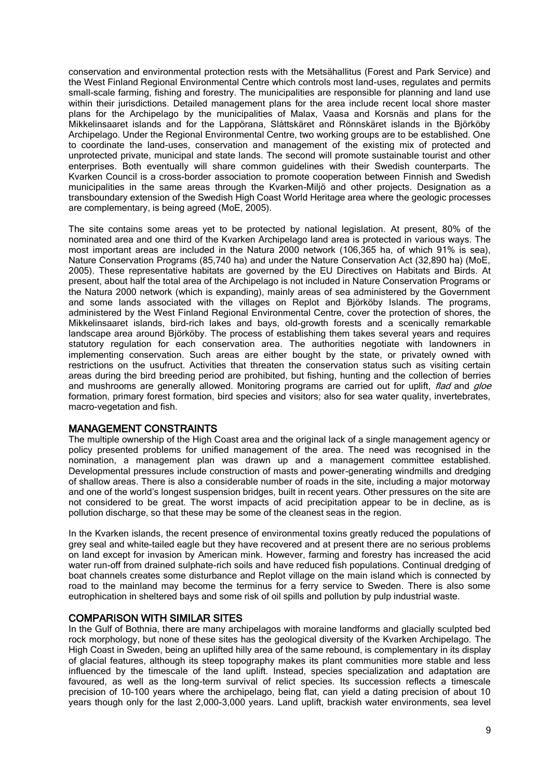conservation and environmental protection rests with the Metsähallitus (Forest and Park Service) and the West Finland Regional Environmental Centre which controls most land-uses, regulates and permits small-scale farming, fishing and forestry. The municipalities are responsible for planning and land use within their jurisdictions. Detailed management plans for the area include recent local shore master plans for the Archipelago by the municipalities of Malax, Vaasa and Korsnäs and plans for the Mikkelinsaaret islands and for the Lappörana, Slåttskäret and Rönnskäret islands in the Björköby Archipelago. Under the Regional Environmental Centre, two working groups are to be established. One to coordinate the land-uses, conservation and management of the existing mix of protected and unprotected private, municipal and state lands. The second will promote sustainable tourist and other enterprises. Both eventually will share common guidelines with their Swedish counterparts. The Kvarken Council is a cross-border association to promote cooperation between Finnish and Swedish municipalities in the same areas through the Kvarken-Miljö and other projects. Designation as a transboundary extension of the Swedish High Coast World Heritage area where the geologic processes are complementary, is being agreed (MoE, 2005).

The site contains some areas yet to be protected by national legislation. At present, 80% of the nominated area and one third of the Kvarken Archipelago land area is protected in various ways. The most important areas are included in the Natura 2000 network (106,365 ha, of which 91% is sea), Nature Conservation Programs (85,740 ha) and under the Nature Conservation Act (32,890 ha) (MoE, 2005). These representative habitats are governed by the EU Directives on Habitats and Birds. At present, about half the total area of the Archipelago is not included in Nature Conservation Programs or the Natura 2000 network (which is expanding), mainly areas of sea administered by the Government and some lands associated with the villages on Replot and Björköby Islands. The programs, administered by the West Finland Regional Environmental Centre, cover the protection of shores, the Mikkelinsaaret islands, bird-rich lakes and bays, old-growth forests and a scenically remarkable landscape area around Björköby. The process of establishing them takes several years and requires statutory regulation for each conservation area. The authorities negotiate with landowners in implementing conservation. Such areas are either bought by the state, or privately owned with restrictions on the usufruct. Activities that threaten the conservation status such as visiting certain areas during the bird breeding period are prohibited, but fishing, hunting and the collection of berries and mushrooms are generally allowed. Monitoring programs are carried out for uplift, flad and gloe formation, primary forest formation, bird species and visitors; also for sea water quality, invertebrates, macro-vegetation and fish.

#### MANAGEMENT CONSTRAINTS

The multiple ownership of the High Coast area and the original lack of a single management agency or policy presented problems for unified management of the area. The need was recognised in the nomination, a management plan was drawn up and a management committee established. Developmental pressures include construction of masts and power-generating windmills and dredging of shallow areas. There is also a considerable number of roads in the site, including a major motorway and one of the world's longest suspension bridges, built in recent years. Other pressures on the site are not considered to be great. The worst impacts of acid precipitation appear to be in decline, as is pollution discharge, so that these may be some of the cleanest seas in the region.

In the Kvarken islands, the recent presence of environmental toxins greatly reduced the populations of grey seal and white-tailed eagle but they have recovered and at present there are no serious problems on land except for invasion by American mink. However, farming and forestry has increased the acid water run-off from drained sulphate-rich soils and have reduced fish populations. Continual dredging of boat channels creates some disturbance and Replot village on the main island which is connected by road to the mainland may become the terminus for a ferry service to Sweden. There is also some eutrophication in sheltered bays and some risk of oil spills and pollution by pulp industrial waste.

# COMPARISON WITH SIMILAR SITES

In the Gulf of Bothnia, there are many archipelagos with moraine landforms and glacially sculpted bed rock morphology, but none of these sites has the geological diversity of the Kvarken Archipelago. The High Coast in Sweden, being an uplifted hilly area of the same rebound, is complementary in its display of glacial features, although its steep topography makes its plant communities more stable and less influenced by the timescale of the land uplift. Instead, species specialization and adaptation are favoured, as well as the long-term survival of relict species. Its succession reflects a timescale precision of 10-100 years where the archipelago, being flat, can yield a dating precision of about 10 years though only for the last 2,000-3,000 years. Land uplift, brackish water environments, sea level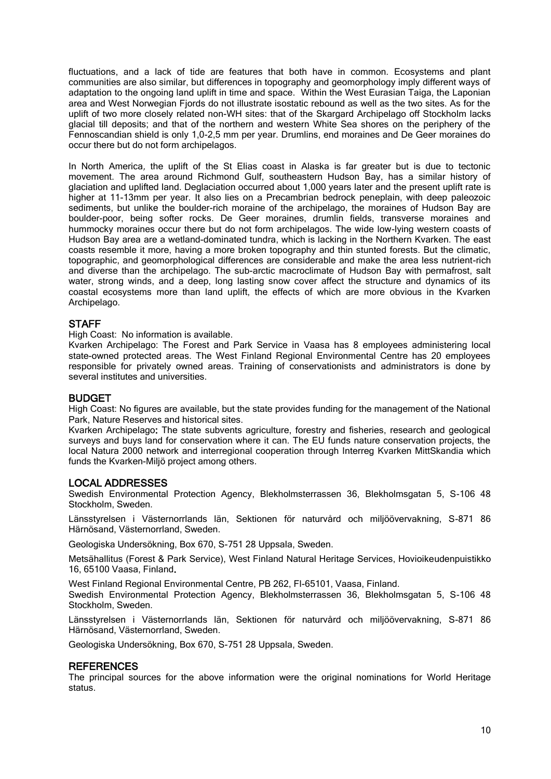fluctuations, and a lack of tide are features that both have in common. Ecosystems and plant communities are also similar, but differences in topography and geomorphology imply different ways of adaptation to the ongoing land uplift in time and space. Within the West Eurasian Taiga, the Laponian area and West Norwegian Fjords do not illustrate isostatic rebound as well as the two sites. As for the uplift of two more closely related non-WH sites: that of the Skargard Archipelago off Stockholm lacks glacial till deposits; and that of the northern and western White Sea shores on the periphery of the Fennoscandian shield is only 1,0-2,5 mm per year. Drumlins, end moraines and De Geer moraines do occur there but do not form archipelagos.

In North America, the uplift of the St Elias coast in Alaska is far greater but is due to tectonic movement. The area around Richmond Gulf, southeastern Hudson Bay, has a similar history of glaciation and uplifted land. Deglaciation occurred about 1,000 years later and the present uplift rate is higher at 11-13mm per year. It also lies on a Precambrian bedrock peneplain, with deep paleozoic sediments, but unlike the boulder-rich moraine of the archipelago, the moraines of Hudson Bay are boulder-poor, being softer rocks. De Geer moraines, drumlin fields, transverse moraines and hummocky moraines occur there but do not form archipelagos. The wide low-lying western coasts of Hudson Bay area are a wetland-dominated tundra, which is lacking in the Northern Kvarken. The east coasts resemble it more, having a more broken topography and thin stunted forests. But the climatic, topographic, and geomorphological differences are considerable and make the area less nutrient-rich and diverse than the archipelago. The sub-arctic macroclimate of Hudson Bay with permafrost, salt water, strong winds, and a deep, long lasting snow cover affect the structure and dynamics of its coastal ecosystems more than land uplift, the effects of which are more obvious in the Kvarken Archipelago.

#### **STAFF**

High Coast: No information is available.

Kvarken Archipelago: The Forest and Park Service in Vaasa has 8 employees administering local state-owned protected areas. The West Finland Regional Environmental Centre has 20 employees responsible for privately owned areas. Training of conservationists and administrators is done by several institutes and universities.

#### BUDGET

High Coast: No figures are available, but the state provides funding for the management of the National Park, Nature Reserves and historical sites.

Kvarken Archipelago: The state subvents agriculture, forestry and fisheries, research and geological surveys and buys land for conservation where it can. The EU funds nature conservation projects, the local Natura 2000 network and interregional cooperation through Interreg Kvarken MittSkandia which funds the Kvarken-Miljö project among others.

#### LOCAL ADDRESSES

Swedish Environmental Protection Agency, Blekholmsterrassen 36, Blekholmsgatan 5, S-106 48 Stockholm, Sweden.

Länsstyrelsen i Västernorrlands län, Sektionen för naturvård och miljöövervakning, S-871 86 Härnösand, Västernorrland, Sweden.

Geologiska Undersökning, Box 670, S-751 28 Uppsala, Sweden.

Metsähallitus (Forest & Park Service), West Finland Natural Heritage Services, Hovioikeudenpuistikko 16, 65100 Vaasa, Finland.

West Finland Regional Environmental Centre, PB 262, Fl-65101, Vaasa, Finland.

Swedish Environmental Protection Agency, Blekholmsterrassen 36, Blekholmsgatan 5, S-106 48 Stockholm, Sweden.

Länsstyrelsen i Västernorrlands län, Sektionen för naturvård och miljöövervakning, S-871 86 Härnösand, Västernorrland, Sweden.

Geologiska Undersökning, Box 670, S-751 28 Uppsala, Sweden.

#### **REFERENCES**

The principal sources for the above information were the original nominations for World Heritage status.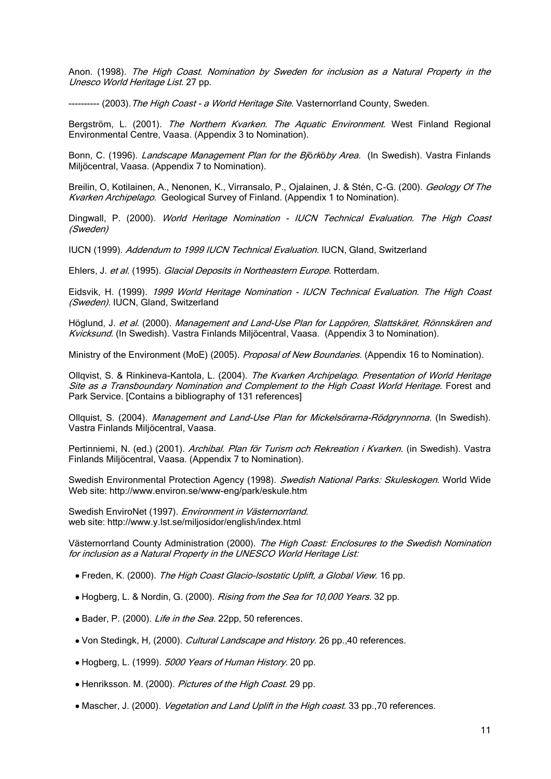Anon. (1998). The High Coast. Nomination by Sweden for inclusion as a Natural Property in the Unesco World Heritage List. 27 pp.

---------- (2003). The High Coast - a World Heritage Site. Vasternorrland County, Sweden.

Bergström, L. (2001). The Northern Kvarken. The Aquatic Environment. West Finland Regional Environmental Centre, Vaasa. (Appendix 3 to Nomination).

Bonn, C. (1996). Landscape Management Plan for the Björköby Area. (In Swedish). Vastra Finlands Miljöcentral, Vaasa. (Appendix 7 to Nomination).

Breilin, O, Kotilainen, A., Nenonen, K., Virransalo, P., Ojalainen, J. & Stén, C-G. (200). Geology Of The Kvarken Archipelago. Geological Survey of Finland. (Appendix 1 to Nomination).

Dingwall, P. (2000). World Heritage Nomination - IUCN Technical Evaluation. The High Coast (Sweden)

IUCN (1999). Addendum to 1999 IUCN Technical Evaluation. IUCN, Gland, Switzerland

Ehlers, J. et al. (1995). Glacial Deposits in Northeastern Europe. Rotterdam.

Eidsvik, H. (1999). 1999 World Heritage Nomination - IUCN Technical Evaluation. The High Coast (Sweden), IUCN, Gland, Switzerland

Höglund, J. et al. (2000). Management and Land-Use Plan for Lappören, Slattskäret, Rönnskären and Kvicksund. (In Swedish). Vastra Finlands Miljöcentral, Vaasa. (Appendix 3 to Nomination).

Ministry of the Environment (MoE) (2005). Proposal of New Boundaries. (Appendix 16 to Nomination).

Ollqvist, S. & Rinkineva-Kantola, L. (2004). The Kvarken Archipelago. Presentation of World Heritage Site as a Transboundary Nomination and Complement to the High Coast World Heritage. Forest and Park Service. [Contains a bibliography of 131 references]

Ollquist, S. (2004). Management and Land-Use Plan for Mickelsörarna-Rödgrynnorna. (In Swedish). Vastra Finlands Miljöcentral, Vaasa.

Pertinniemi, N. (ed.) (2001). Archibal. Plan för Turism och Rekreation i Kvarken. (in Swedish). Vastra Finlands Miljöcentral, Vaasa. (Appendix 7 to Nomination).

Swedish Environmental Protection Agency (1998). Swedish National Parks: Skuleskogen. World Wide Web site:<http://www.environ.se/www-eng/park/eskule.htm>

Swedish EnviroNet (1997). Environment in Västernorrland. web site: http://www.y.lst.se/miljosidor/english/index.html

Västernorrland County Administration (2000). The High Coast: Enclosures to the Swedish Nomination for inclusion as a Natural Property in the UNESCO World Heritage List:

- Freden, K. (2000). The High Coast Glacio-Isostatic Uplift, a Global View. 16 pp.
- Hogberg, L. & Nordin, G. (2000). Rising from the Sea for 10,000 Years. 32 pp.
- Bader, P. (2000). Life in the Sea. 22pp, 50 references.
- Von Stedingk, H, (2000). Cultural Landscape and History. 26 pp., 40 references.
- Hogberg, L. (1999). 5000 Years of Human History. 20 pp.
- Henriksson. M. (2000). Pictures of the High Coast. 29 pp.
- Mascher, J. (2000). *Vegetation and Land Uplift in the High coast*. 33 pp., 70 references.